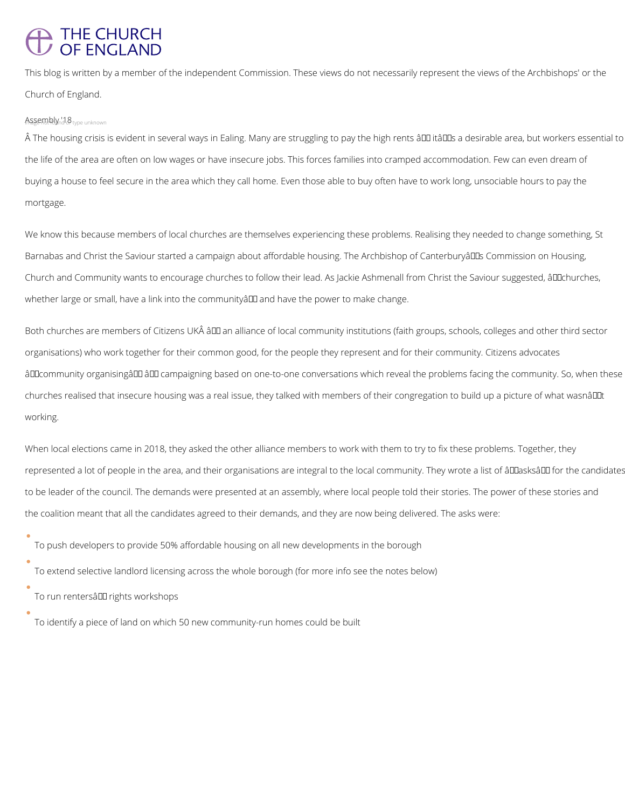## THE CHURCH<br>OF ENGLAND

This blog is written by a member of the independent Commission. These views do not necessarily represent the views of the Archbishops' or the Church of England.

## Assengtely '18 type unknown

A The housing crisis is evident in several ways in Ealing. Many are struggling to pay the high rents â00 itâ00s a desirable area, but workers essential to the life of the area are often on low wages or have insecure jobs. This forces families into cramped accommodation. Few can even dream of buying a house to feel secure in the area which they call home. Even those able to buy often have to work long, unsociable hours to pay the mortgage.

We know this because members of local churches are themselves experiencing these problems. Realising they needed to change something, St Barnabas and Christ the Saviour started a campaign about affordable housing. The Archbishop of Canterburyâll Dis Commission on Housing, Church and Community wants to encourage churches to follow their lead. As Jackie Ashmenall from Christ the Saviour suggested, âll Dchurches, whether large or small, have a link into the community all and have the power to make change.

Both churches are members of Citizens UKÂ ând an alliance of local community institutions (faith groups, schools, colleges and other third sector organisations) who work together for their common good, for the people they represent and for their community. Citizens advocates âDD community organisingâ DD and ampaigning based on one-to-one conversations which reveal the problems facing the community. So, when these churches realised that insecure housing was a real issue, they talked with members of their congregation to build up a picture of what wasnât working.

When local elections came in 2018, they asked the other alliance members to work with them to try to fix these problems. Together, they represented a lot of people in the area, and their organisations are integral to the local community. They wrote a list of âllasksâll for the candidates to be leader of the council. The demands were presented at an assembly, where local people told their stories. The power of these stories and the coalition meant that all the candidates agreed to their demands, and they are now being delivered. The asks were:

To push developers to provide 50% affordable housing on all new developments in the borough

To extend selective landlord licensing across the whole borough (for more info see the notes below)

To run rentersâlD rights workshops

To identify a piece of land on which 50 new community-run homes could be built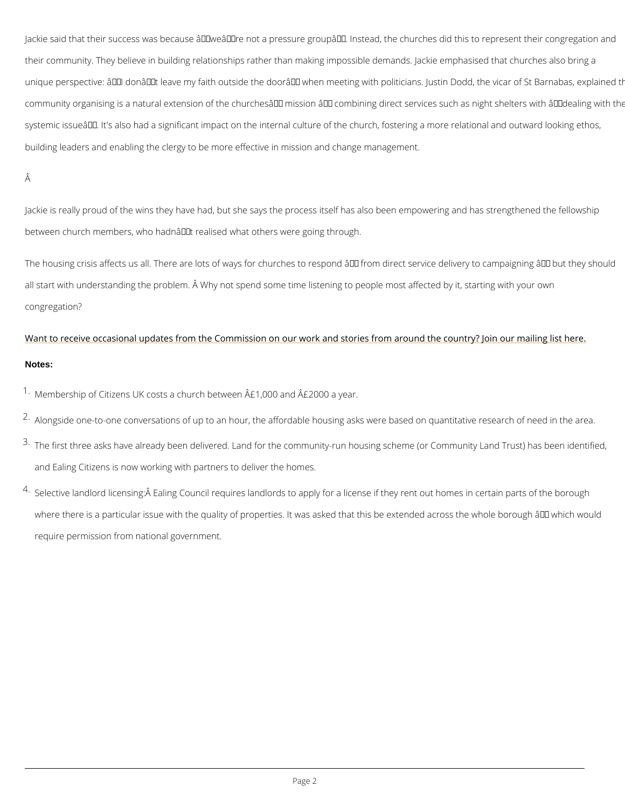Jackie said that their success was because â€~we're not a pressure group'. Instead, t their community. They believe in building relationships rather than making impossible deman unique perspective:  $\hat{a} \in \tilde{ }$ l don $\hat{a} \in \tilde{ }$ t leave my faith outside the door $\hat{a} \in \tilde{ }$  when meeting with pol community organising is a natural extension of the churches  $\hat{\mathbf{a}} \in \mathbb{M}$  mission  $\hat{\mathbf{a}} \in \mathbb{M}$  combining dired systemic issue $\hat{a} \in \mathbb{M}$ . It's also had a significant impact on the internal culture of the church, f building leaders and enabling the clergy to be more effective in mission and change manager

Â

Jackie is really proud of the wins they have had, but she says the process itself has also be between church members, who hadn't realised what others were going through.

The housing crisis affects us all. There are lots of ways for churches to respond  $\hat{a} \in H$  from di all start with understanding the problem. Å Why not spend some time listening to people mos congregation?

## [Want to receive occasional updates from the Commission on our work and stories from](https://mailchi.mp/b276574b43d4/abchousing) around Notes:

 $1\cdot$ Membership of Citizens UK costs a church between  $\hat{A}$ £1,000 and  $\hat{A}$ £2000 a year.

 $2 \cdot$ Alongside one-to-one conversations of up to an hour, the affordable housing asks were bas

- $3\cdot$ The first three asks have already been delivered. Land for the community-run housing sche and Ealing Citizens is now working with partners to deliver the homes.
- $4\cdot$ Selective landlord licensing: $\hat{A}$  Ealing Council requires landlords to apply for a license if th where there is a particular issue with the quality of properties. It was asked that this be extended across the which which we whole across the whole across the whole borough  $\alpha$ require permission from national government.